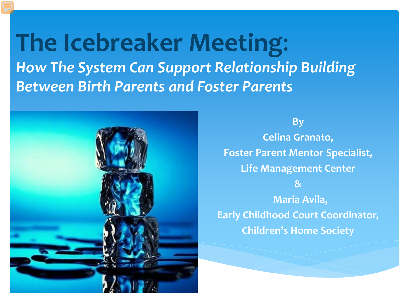**The Icebreaker Meeting**: *How The System Can Support Relationship Building Between Birth Parents and Foster Parents*



**By Celina Granato, Foster Parent Mentor Specialist, Life Management Center & Maria Avila, Early Childhood Court Coordinator, Children's Home Society**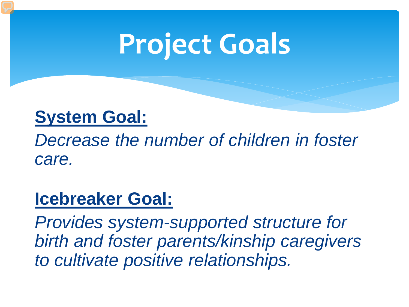# **Project Goals**

#### **System Goal:**

*Decrease the number of children in foster care.* 

#### **Icebreaker Goal:**

*Provides system-supported structure for birth and foster parents/kinship caregivers to cultivate positive relationships.*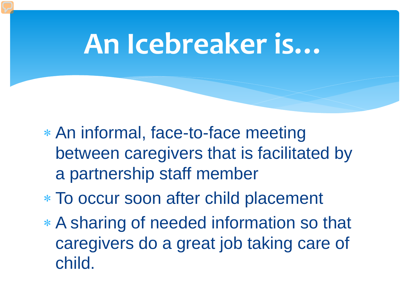## **An Icebreaker is…**

- ∗ An informal, face-to-face meeting between caregivers that is facilitated by a partnership staff member
- ∗ To occur soon after child placement
- ∗ A sharing of needed information so that caregivers do a great job taking care of child.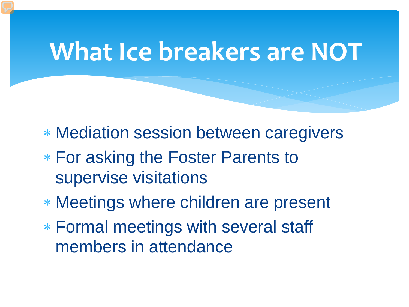## **What Ice breakers are NOT**

- ∗ Mediation session between caregivers
- ∗ For asking the Foster Parents to supervise visitations
- ∗ Meetings where children are present
- ∗ Formal meetings with several staff members in attendance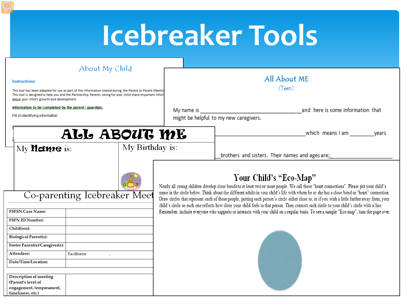# **Icebreaker Tools**

| About My Child<br><b>Instructions:</b><br>This tool has been adapted for use as part of the information shared during the Parent to Parent Meetir<br>This tool is designed to help you and the Partnership Parents caring for your child share important infor<br>about your child's growth and development. |                 | All About ME<br>(Teen)                                                                                                                                                                                                                                                                                                                                                                                                                                                                                                                                                                                              |                                                 |  |
|--------------------------------------------------------------------------------------------------------------------------------------------------------------------------------------------------------------------------------------------------------------------------------------------------------------|-----------------|---------------------------------------------------------------------------------------------------------------------------------------------------------------------------------------------------------------------------------------------------------------------------------------------------------------------------------------------------------------------------------------------------------------------------------------------------------------------------------------------------------------------------------------------------------------------------------------------------------------------|-------------------------------------------------|--|
| Information to be completed by the parent / guardian.                                                                                                                                                                                                                                                        |                 | My name is                                                                                                                                                                                                                                                                                                                                                                                                                                                                                                                                                                                                          | and here is some information that               |  |
| Fill in identifying information.                                                                                                                                                                                                                                                                             |                 | might be helpful to my new caregivers.                                                                                                                                                                                                                                                                                                                                                                                                                                                                                                                                                                              |                                                 |  |
| ALL ABOUT ME                                                                                                                                                                                                                                                                                                 |                 | which means I am<br>vears                                                                                                                                                                                                                                                                                                                                                                                                                                                                                                                                                                                           |                                                 |  |
| My <b>Meture</b> is:                                                                                                                                                                                                                                                                                         | My Birthday is: |                                                                                                                                                                                                                                                                                                                                                                                                                                                                                                                                                                                                                     | brothers and sisters. Their names and ages are; |  |
| Co-parenting Icebreaker Meet                                                                                                                                                                                                                                                                                 |                 | Your Child's "Eco-Map"<br>Nearly all young children develop close bonds to at least two or more people. We call these "heart connections". Please put your child's<br>name in the circle below. Think about the different adults in your child's life with whom he or she has a close bond or "heart" connection.<br>Draw circles that represent each of those people, putting each person's circle either close to, or if you wish a little farther away from, your<br>child's circle so each one reflects how close your child feels to that person. Then connect each circle to your child's circle with a line. |                                                 |  |
| <b>FSFSN Case Name:</b>                                                                                                                                                                                                                                                                                      |                 | Remember: include everyone who supports or interacts with your child on a regular basis. To see a sample "Eco-map", turn the page over.                                                                                                                                                                                                                                                                                                                                                                                                                                                                             |                                                 |  |
| <b>FSFN ID Number:</b>                                                                                                                                                                                                                                                                                       |                 |                                                                                                                                                                                                                                                                                                                                                                                                                                                                                                                                                                                                                     |                                                 |  |
| Child(ren):                                                                                                                                                                                                                                                                                                  |                 |                                                                                                                                                                                                                                                                                                                                                                                                                                                                                                                                                                                                                     |                                                 |  |
| <b>Biological Parent(s):</b>                                                                                                                                                                                                                                                                                 |                 |                                                                                                                                                                                                                                                                                                                                                                                                                                                                                                                                                                                                                     |                                                 |  |
| Foster Parent(s)/Caregiver(s):                                                                                                                                                                                                                                                                               |                 |                                                                                                                                                                                                                                                                                                                                                                                                                                                                                                                                                                                                                     |                                                 |  |
| <b>Attendees:</b><br>Facilitator                                                                                                                                                                                                                                                                             |                 |                                                                                                                                                                                                                                                                                                                                                                                                                                                                                                                                                                                                                     |                                                 |  |
| Date/Time/Location:                                                                                                                                                                                                                                                                                          |                 |                                                                                                                                                                                                                                                                                                                                                                                                                                                                                                                                                                                                                     |                                                 |  |
| Description of meeting<br>(Parent's level of<br>engagement, temperament,<br>timeliness, etc.)                                                                                                                                                                                                                |                 |                                                                                                                                                                                                                                                                                                                                                                                                                                                                                                                                                                                                                     |                                                 |  |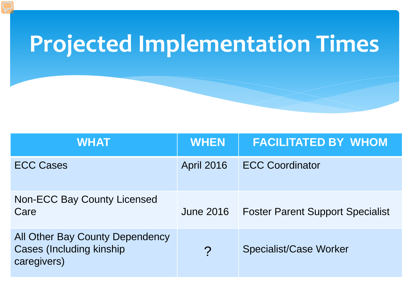## **Projected Implementation Times**

| <b>WHAT</b>                                                                        | <b>WHEN</b>           | <b>FACILITATED BY WHOM</b>              |
|------------------------------------------------------------------------------------|-----------------------|-----------------------------------------|
| <b>ECC Cases</b>                                                                   | <b>April 2016</b>     | <b>ECC Coordinator</b>                  |
| <b>Non-ECC Bay County Licensed</b><br>Care                                         | <b>June 2016</b>      | <b>Foster Parent Support Specialist</b> |
| All Other Bay County Dependency<br><b>Cases (Including kinship)</b><br>caregivers) | $\boldsymbol{\gamma}$ | <b>Specialist/Case Worker</b>           |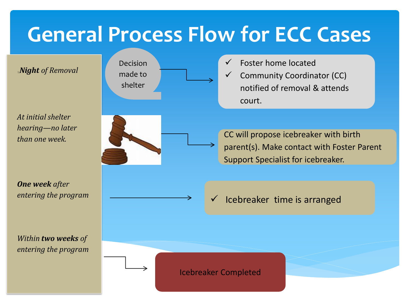### **General Process Flow for ECC Cases**

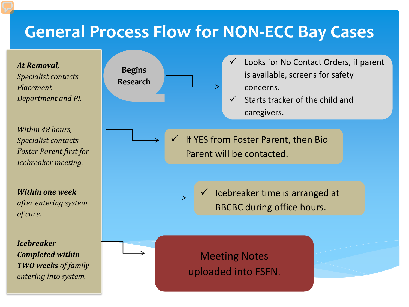#### **General Process Flow for NON-ECC Bay Cases**

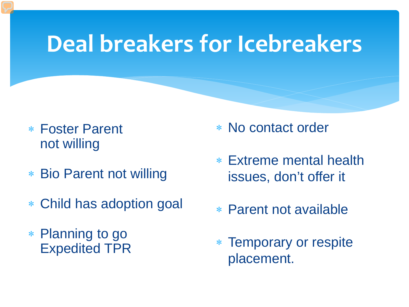### **Deal breakers for Icebreakers**

- ∗ Foster Parent not willing
- ∗ Bio Parent not willing
- ∗ Child has adoption goal
- ∗ Planning to go Expedited TPR
- ∗ No contact order
- ∗ Extreme mental health issues, don't offer it
- ∗ Parent not available
- ∗ Temporary or respite placement.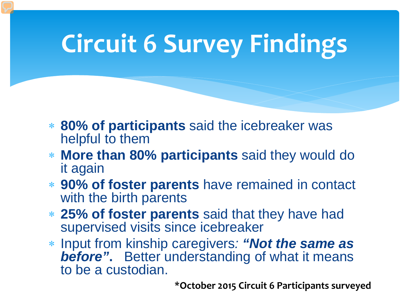## **Circuit 6 Survey Findings**

- ∗ **80% of participants** said the icebreaker was helpful to them
- ∗ **More than 80% participants** said they would do it again
- ∗ **90% of foster parents** have remained in contact with the birth parents
- ∗ **25% of foster parents** said that they have had supervised visits since icebreaker
- ∗ Input from kinship caregivers*: "Not the same as before"***.** Better understanding of what it means to be a custodian.

**\*October 2015 Circuit 6 Participants surveyed**